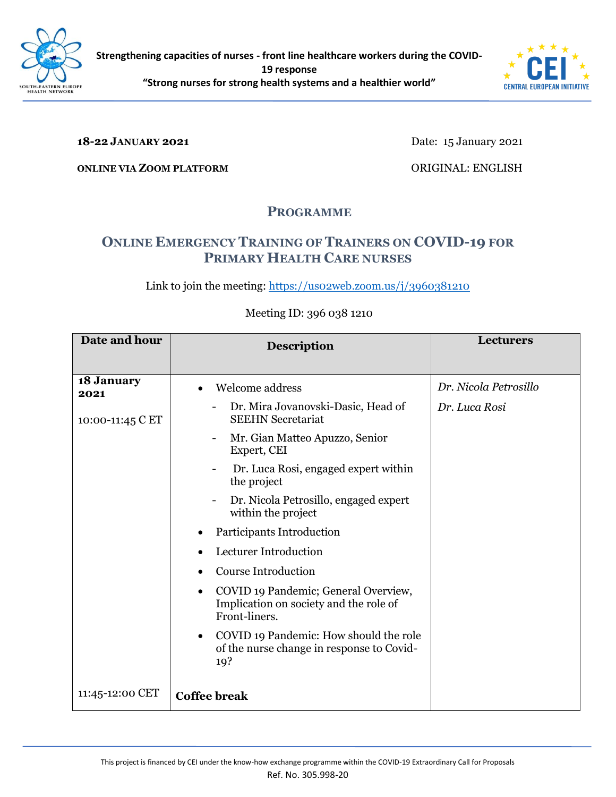



#### **18-22 JANUARY 2021**

Date: 15 January 2021

**ONLINE VIA ZOOM PLATFORM**

ORIGINAL: ENGLISH

## **PROGRAMME**

# **ONLINE EMERGENCY TRAINING OF TRAINERS ON COVID-19 FOR PRIMARY HEALTH CARE NURSES**

Link to join the meeting: https://uso2web.zoom.us/j/3960381210

## **Date and hour Description Description Lecturers 18 January 2021** 10:00-11:45 C ET 11:45-12:00 CET • Welcome address - Dr. Mira Jovanovski-Dasic, Head of SEEHN Secretariat - Mr. Gian Matteo Apuzzo, Senior Expert, CEI Dr. Luca Rosi, engaged expert within the project - Dr. Nicola Petrosillo, engaged expert within the project • Participants Introduction • Lecturer Introduction • Course Introduction • COVID 19 Pandemic; General Overview, Implication on society and the role of Front-liners. • COVID 19 Pandemic: How should the role of the nurse change in response to Covid-19? **Coffee break** *Dr. Nicola Petrosillo Dr. Luca Rosi*

### Meeting ID: 396 038 1210